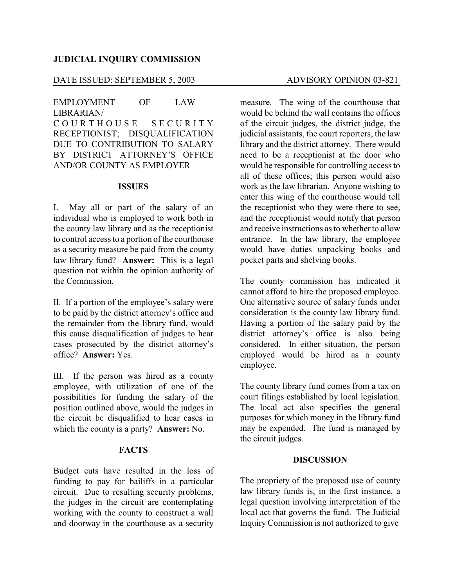### **JUDICIAL INQUIRY COMMISSION**

# DATE ISSUED: SEPTEMBER 5, 2003 ADVISORY OPINION 03-821

# EMPLOYMENT OF LAW LIBRARIAN/ COURTHOUSE SECURITY RECEPTIONIST; DISQUALIFICATION DUE TO CONTRIBUTION TO SALARY BY DISTRICT ATTORNEY'S OFFICE AND/OR COUNTY AS EMPLOYER

#### **ISSUES**

I. May all or part of the salary of an individual who is employed to work both in the county law library and as the receptionist to control access to a portion of the courthouse as a security measure be paid from the county law library fund? **Answer:** This is a legal question not within the opinion authority of the Commission.

II. If a portion of the employee's salary were to be paid by the district attorney's office and the remainder from the library fund, would this cause disqualification of judges to hear cases prosecuted by the district attorney's office? **Answer:** Yes.

III. If the person was hired as a county employee, with utilization of one of the possibilities for funding the salary of the position outlined above, would the judges in the circuit be disqualified to hear cases in which the county is a party? **Answer:** No.

### **FACTS**

Budget cuts have resulted in the loss of funding to pay for bailiffs in a particular circuit. Due to resulting security problems, the judges in the circuit are contemplating working with the county to construct a wall and doorway in the courthouse as a security

measure. The wing of the courthouse that would be behind the wall contains the offices of the circuit judges, the district judge, the judicial assistants, the court reporters, the law library and the district attorney. There would need to be a receptionist at the door who would be responsible for controlling access to all of these offices; this person would also work as the law librarian. Anyone wishing to enter this wing of the courthouse would tell the receptionist who they were there to see, and the receptionist would notify that person and receive instructions as to whether to allow entrance. In the law library, the employee would have duties unpacking books and pocket parts and shelving books.

The county commission has indicated it cannot afford to hire the proposed employee. One alternative source of salary funds under consideration is the county law library fund. Having a portion of the salary paid by the district attorney's office is also being considered. In either situation, the person employed would be hired as a county employee.

The county library fund comes from a tax on court filings established by local legislation. The local act also specifies the general purposes for which money in the library fund may be expended. The fund is managed by the circuit judges.

#### **DISCUSSION**

The propriety of the proposed use of county law library funds is, in the first instance, a legal question involving interpretation of the local act that governs the fund. The Judicial Inquiry Commission is not authorized to give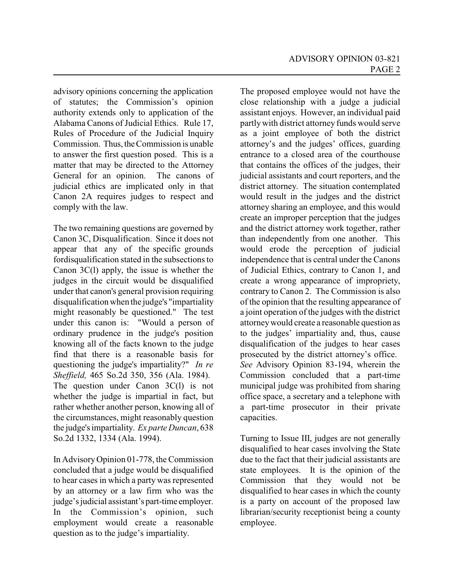advisory opinions concerning the application of statutes; the Commission's opinion authority extends only to application of the Alabama Canons of Judicial Ethics. Rule 17, Rules of Procedure of the Judicial Inquiry Commission. Thus, the Commission is unable to answer the first question posed. This is a matter that may be directed to the Attorney General for an opinion. The canons of judicial ethics are implicated only in that Canon 2A requires judges to respect and comply with the law.

The two remaining questions are governed by Canon 3C, Disqualification. Since it does not appear that any of the specific grounds fordisqualification stated in the subsections to Canon 3C(l) apply, the issue is whether the judges in the circuit would be disqualified under that canon's general provision requiring disqualification when the judge's "impartiality might reasonably be questioned." The test under this canon is: "Would a person of ordinary prudence in the judge's position knowing all of the facts known to the judge find that there is a reasonable basis for questioning the judge's impartiality?" *In re Sheffield,* 465 So.2d 350, 356 (Ala. 1984). The question under Canon 3C(l) is not whether the judge is impartial in fact, but rather whether another person, knowing all of the circumstances, might reasonably question

the judge's impartiality. *Ex parte Duncan*, 638 So.2d 1332, 1334 (Ala. 1994).

In AdvisoryOpinion 01-778, the Commission concluded that a judge would be disqualified to hear cases in which a party was represented by an attorney or a law firm who was the judge's judicial assistant's part-time employer. In the Commission's opinion, such employment would create a reasonable question as to the judge's impartiality.

The proposed employee would not have the close relationship with a judge a judicial assistant enjoys. However, an individual paid partlywith district attorney funds would serve as a joint employee of both the district attorney's and the judges' offices, guarding entrance to a closed area of the courthouse that contains the offices of the judges, their judicial assistants and court reporters, and the district attorney. The situation contemplated would result in the judges and the district attorney sharing an employee, and this would create an improper perception that the judges and the district attorney work together, rather than independently from one another. This would erode the perception of judicial independence that is central under the Canons of Judicial Ethics, contrary to Canon 1, and create a wrong appearance of impropriety, contrary to Canon 2. The Commission is also of the opinion that the resulting appearance of a joint operation of the judges with the district attorneywould create a reasonable question as to the judges' impartiality and, thus, cause disqualification of the judges to hear cases prosecuted by the district attorney's office. *See* Advisory Opinion 83-194, wherein the Commission concluded that a part-time municipal judge was prohibited from sharing office space, a secretary and a telephone with a part-time prosecutor in their private capacities.

Turning to Issue III, judges are not generally disqualified to hear cases involving the State due to the fact that their judicial assistants are state employees. It is the opinion of the Commission that they would not be disqualified to hear cases in which the county is a party on account of the proposed law librarian/security receptionist being a county employee.